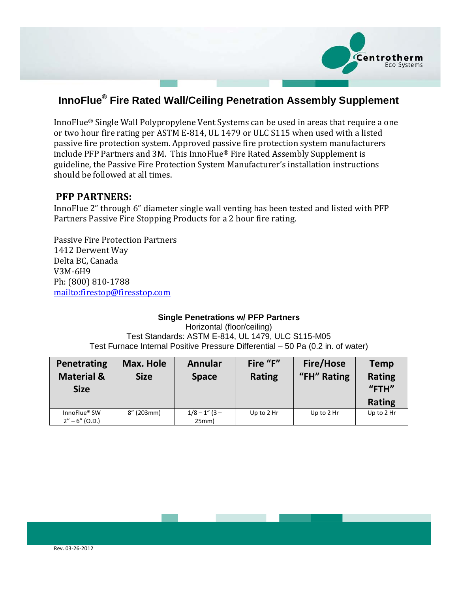

# **InnoFlue® Fire Rated Wall/Ceiling Penetration Assembly Supplement**

InnoFlue® Single Wall Polypropylene Vent Systems can be used in areas that require a one or two hour fire rating per ASTM E-814, UL 1479 or ULC S115 when used with a listed passive fire protection system. Approved passive fire protection system manufacturers include PFP Partners and 3M. This InnoFlue® Fire Rated Assembly Supplement is guideline, the Passive Fire Protection System Manufacturer's installation instructions should be followed at all times.

## **PFP PARTNERS:**

InnoFlue 2" through 6" diameter single wall venting has been tested and listed with PFP Partners Passive Fire Stopping Products for a 2 hour fire rating.

Passive Fire Protection Partners 1412 Derwent Way Delta BC, Canada V3M-6H9 Ph: (800) 810-1788 <mailto:firestop@firesstop.com>

### **Single Penetrations w/ PFP Partners**

Horizontal (floor/ceiling) Test Standards: ASTM E-814, UL 1479, ULC S115-M05 Test Furnace Internal Positive Pressure Differential – 50 Pa (0.2 in. of water)

| Penetrating<br><b>Material &amp;</b><br><b>Size</b> | Max. Hole<br><b>Size</b> | <b>Annular</b><br><b>Space</b> | Fire "F"<br><b>Rating</b> | Fire/Hose<br>"FH" Rating | <b>Temp</b><br><b>Rating</b><br>$"$ FTH"<br><b>Rating</b> |
|-----------------------------------------------------|--------------------------|--------------------------------|---------------------------|--------------------------|-----------------------------------------------------------|
| InnoFlue® SW<br>$2'' - 6''$ (O.D.)                  | $8''$ (203mm)            | $1/8 - 1''$ (3 –<br>25mm)      | Up to 2 Hr                | Up to 2 Hr               | Up to 2 Hr                                                |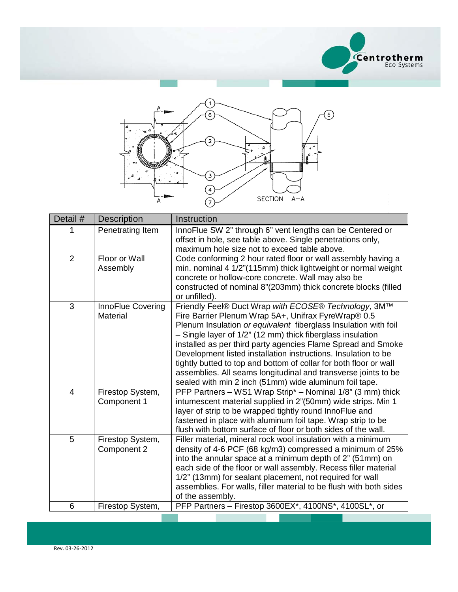



| Detail #       | <b>Description</b>                   | Instruction                                                                                                                                                                                                                                                                                                                                                                                                                                                                                                                                                                     |
|----------------|--------------------------------------|---------------------------------------------------------------------------------------------------------------------------------------------------------------------------------------------------------------------------------------------------------------------------------------------------------------------------------------------------------------------------------------------------------------------------------------------------------------------------------------------------------------------------------------------------------------------------------|
|                | Penetrating Item                     | InnoFlue SW 2" through 6" vent lengths can be Centered or<br>offset in hole, see table above. Single penetrations only,<br>maximum hole size not to exceed table above.                                                                                                                                                                                                                                                                                                                                                                                                         |
| $\overline{2}$ | Floor or Wall<br>Assembly            | Code conforming 2 hour rated floor or wall assembly having a<br>min. nominal 4 1/2"(115mm) thick lightweight or normal weight<br>concrete or hollow-core concrete. Wall may also be<br>constructed of nominal 8"(203mm) thick concrete blocks (filled<br>or unfilled).                                                                                                                                                                                                                                                                                                          |
| 3              | <b>InnoFlue Covering</b><br>Material | Friendly Feel® Duct Wrap with ECOSE® Technology, 3M™<br>Fire Barrier Plenum Wrap 5A+, Unifrax FyreWrap® 0.5<br>Plenum Insulation or equivalent fiberglass Insulation with foil<br>- Single layer of 1/2" (12 mm) thick fiberglass insulation<br>installed as per third party agencies Flame Spread and Smoke<br>Development listed installation instructions. Insulation to be<br>tightly butted to top and bottom of collar for both floor or wall<br>assemblies. All seams longitudinal and transverse joints to be<br>sealed with min 2 inch (51mm) wide aluminum foil tape. |
| $\overline{4}$ | Firestop System,<br>Component 1      | PFP Partners - WS1 Wrap Strip* - Nominal 1/8" (3 mm) thick<br>intumescent material supplied in 2"(50mm) wide strips. Min 1<br>layer of strip to be wrapped tightly round InnoFlue and<br>fastened in place with aluminum foil tape. Wrap strip to be<br>flush with bottom surface of floor or both sides of the wall.                                                                                                                                                                                                                                                           |
| 5              | Firestop System,<br>Component 2      | Filler material, mineral rock wool insulation with a minimum<br>density of 4-6 PCF (68 kg/m3) compressed a minimum of 25%<br>into the annular space at a minimum depth of 2" (51mm) on<br>each side of the floor or wall assembly. Recess filler material<br>1/2" (13mm) for sealant placement, not required for wall<br>assemblies. For walls, filler material to be flush with both sides<br>of the assembly.                                                                                                                                                                 |
| 6              | Firestop System,                     | PFP Partners - Firestop 3600EX*, 4100NS*, 4100SL*, or                                                                                                                                                                                                                                                                                                                                                                                                                                                                                                                           |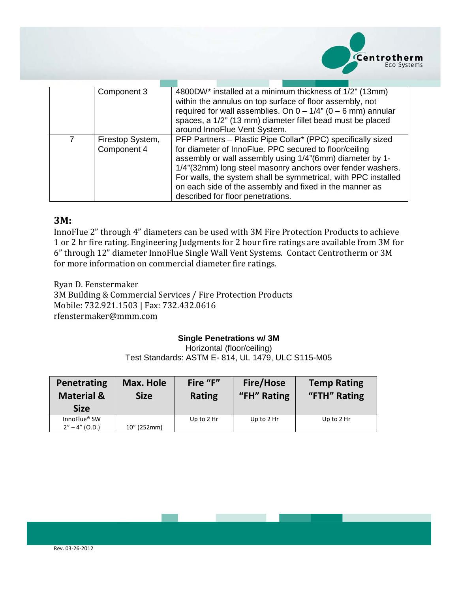

|   | Component 3                     | 4800DW* installed at a minimum thickness of 1/2" (13mm)<br>within the annulus on top surface of floor assembly, not<br>required for wall assemblies. On $0 - 1/4$ " ( $0 - 6$ mm) annular<br>spaces, a 1/2" (13 mm) diameter fillet bead must be placed<br>around InnoFlue Vent System.                                                                                                                            |  |
|---|---------------------------------|--------------------------------------------------------------------------------------------------------------------------------------------------------------------------------------------------------------------------------------------------------------------------------------------------------------------------------------------------------------------------------------------------------------------|--|
| 7 | Firestop System,<br>Component 4 | PFP Partners - Plastic Pipe Collar* (PPC) specifically sized<br>for diameter of InnoFlue. PPC secured to floor/ceiling<br>assembly or wall assembly using 1/4"(6mm) diameter by 1-<br>1/4"(32mm) long steel masonry anchors over fender washers.<br>For walls, the system shall be symmetrical, with PPC installed<br>on each side of the assembly and fixed in the manner as<br>described for floor penetrations. |  |

### **3M:**

InnoFlue 2" through 4" diameters can be used with 3M Fire Protection Products to achieve 1 or 2 hr fire rating. Engineering Judgments for 2 hour fire ratings are available from 3M for 6" through 12" diameter InnoFlue Single Wall Vent Systems. Contact Centrotherm or 3M for more information on commercial diameter fire ratings.

Ryan D. Fenstermaker 3M Building & Commercial Services / Fire Protection Products Mobile: 732.921.1503 | Fax: 732.432.0616 [rfenstermaker@mmm.com](mailto:rfenstermaker@mmm.com)

#### **Single Penetrations w/ 3M**

Horizontal (floor/ceiling) Test Standards: ASTM E- 814, UL 1479, ULC S115-M05

| Penetrating<br><b>Material &amp;</b><br><b>Size</b> | Max. Hole<br><b>Size</b> | Fire "F"<br><b>Rating</b> | <b>Fire/Hose</b><br>"FH" Rating | <b>Temp Rating</b><br>"FTH" Rating |
|-----------------------------------------------------|--------------------------|---------------------------|---------------------------------|------------------------------------|
| InnoFlue <sup>®</sup> SW                            |                          | Up to $2$ Hr              | Up to $2$ Hr                    | Up to $2$ Hr                       |
| $2'' - 4'' (O.D.)$                                  | 10" (252mm)              |                           |                                 |                                    |